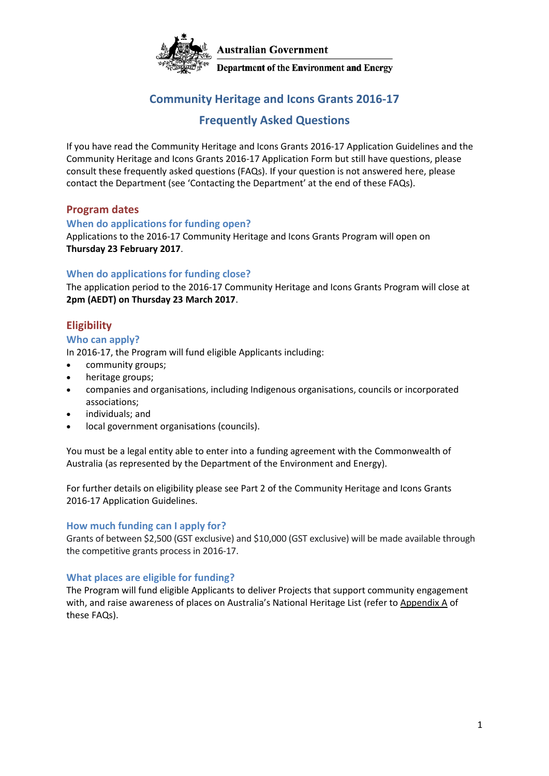

### **Community Heritage and Icons Grants 2016-17**

#### **Frequently Asked Questions**

If you have read the [Community Heritage a](file:///C:/funding/cag/index.html)nd Icons Grants 2016-17 Application Guidelines and the Community Heritage and Icons Grants 2016-17 Application Form but still have questions, please consult these frequently asked questions (FAQs). If your question is not answered here, please contact the Department (see 'Contacting the Department' at the end of these FAQs).

#### **Program dates**

#### **When do applications for funding open?**

Applications to the 2016-17 Community Heritage and Icons Grants Program will open on **Thursday 23 February 2017**.

#### **When do applications for funding close?**

The application period to the 2016-17 Community Heritage and Icons Grants Program will close at **2pm (AEDT) on Thursday 23 March 2017**.

#### **Eligibility**

#### **Who can apply?**

In 2016-17, the Program will fund eligible Applicants including:

- community groups;
- heritage groups;
- companies and organisations, including Indigenous organisations, councils or incorporated associations;
- individuals; and
- local government organisations (councils).

You must be a legal entity able to enter into a funding agreement with the Commonwealth of Australia (as represented by the Department of the Environment and Energy).

For further details on eligibility please see Part 2 of the [Community Heritage a](file:///C:/funding/cag/index.html)nd Icons Grants 2016-17 Application Guidelines.

#### **How much funding can I apply fo[r?](http://www.nrm.gov.au/funding/cag/faq.html)**

Grants of between \$2,500 (GST exclusive) and \$10,000 (GST exclusive) will be made available through the competitive grants process in 2016-17.

#### **What places are eligible for fundin[g?](http://www.nrm.gov.au/funding/cag/faq.html)**

The Program will fund eligible Applicants to deliver Projects that support community engagement with, and raise awareness of places on Australia's National Heritage List (refer to Appendix A of these FAQs).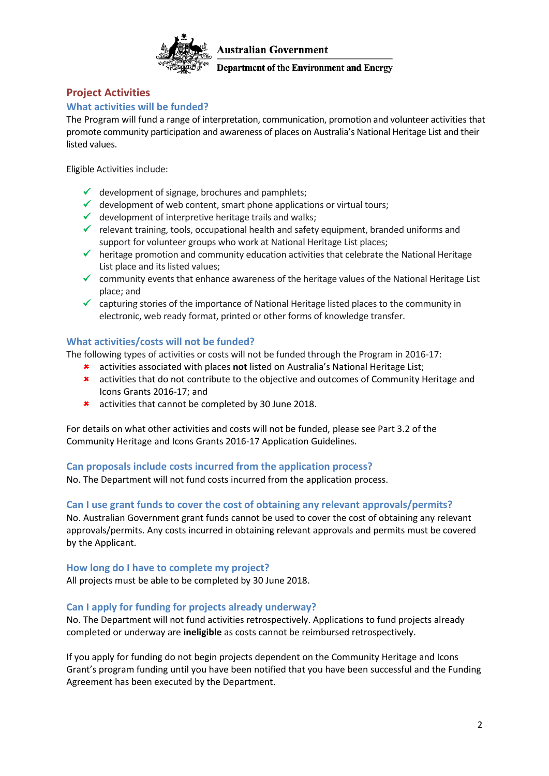

Department of the Environment and Energy

#### **Project Activities**

#### **[What activities will be funded?](http://www.nrm.gov.au/funding/cag/faq.html)**

The Program will fund a range of interpretation, communication, promotion and volunteer activities that promote community participation and awareness of places on Australia's National Heritage List and their listed values.

Eligible Activities include:

- $\checkmark$  development of signage, brochures and pamphlets;
- $\checkmark$  development of web content, smart phone applications or virtual tours;
- $\checkmark$  development of interpretive heritage trails and walks;
- $\checkmark$  relevant training, tools, occupational health and safety equipment, branded uniforms and support for volunteer groups who work at National Heritage List places;
- $\checkmark$  heritage promotion and community education activities that celebrate the National Heritage List place and its listed values;
- $\checkmark$  community events that enhance awareness of the heritage values of the National Heritage List place; and
- $\checkmark$  capturing stories of the importance of National Heritage listed places to the community in electronic, web ready format, printed or other forms of knowledge transfer.

#### **What activities/costs will not be funded?**

The following types of activities or costs will not be funded through the Program in 2016-17:

- activities associated with places **not** listed on Australia's National Heritage List;
- activities that do not contribute to the objective and outcomes of Community Heritage and Icons Grants 2016-17; and
- **\*** activities that cannot be completed by 30 June 2018.

For details on what other activities and costs will not be funded, please see Part 3.2 of th[e](file:///C:/funding/cag/index.html) [Community Heritage a](file:///C:/funding/cag/index.html)nd Icons Grants 2016-17 Application Guidelines.

#### **Can proposals include costs incurred from the application process?**

No. The Department will not fund costs incurred from the application process.

#### **Can I use grant funds to cover the cost of obtaining any relevant approvals/permits?**

No. Australian Government grant funds cannot be used to cover the cost of obtaining any relevant approvals/permits. Any costs incurred in obtaining relevant approvals and permits must be covered by the Applicant.

#### **How long do I have to complete my project?**

All projects must be able to be completed by 30 June 2018.

#### **[Can I apply for funding for projects already underway?](http://www.nrm.gov.au/funding/cag/faq.html)**

No. The Department will not fund activities retrospectively. Applications to fund projects already completed or underway are **ineligible** as costs cannot be reimbursed retrospectively.

If you apply for funding do not begin projects dependent on the Community Heritage and Icons Grant's program funding until you have been notified that you have been successful and the Funding Agreement has been executed by the Department.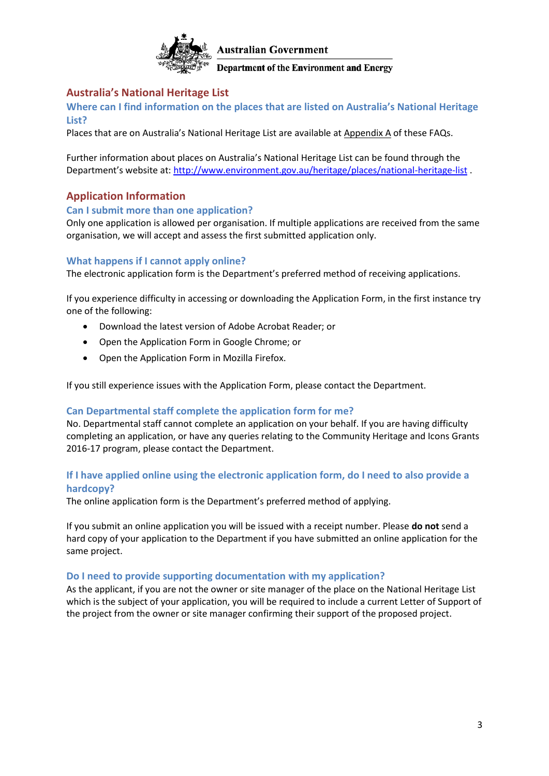

#### **Australia's National Heritage List**

**Where can [I find information on the places that are listed on Australia's National Heritage](http://www.nrm.gov.au/funding/cag/faq.html)  [List?](http://www.nrm.gov.au/funding/cag/faq.html)**

Places that are on Australia's National Heritage List are available at Appendix A of these FAQs.

Further information about places on Australia's National Heritage List can be found through the Department's website at:<http://www.environment.gov.au/heritage/places/national-heritage-list> .

#### **Application Information**

#### **Can I submit more than one application?**

Only one application is allowed per organisation. If multiple applications are received from the same organisation, we will accept and assess the first submitted application only.

#### **[What happens if I cannot apply online?](http://www.nrm.gov.au/funding/cag/faq.html)**

The electronic application form is the Department's preferred method of receiving applications.

If you experience difficulty in accessing or downloading the Application Form, in the first instance try one of the following:

- Download the latest version of Adobe Acrobat Reader; or
- Open the Application Form in Google Chrome; or
- Open the Application Form in Mozilla Firefox.

If you still experience issues with the Application Form, please contact the Department.

#### **Can Departmental [staff complete the application form for me?](http://www.nrm.gov.au/funding/cag/faq.html)**

No. Departmental staff cannot complete an application on your behalf. If you are having difficulty completing an application, or have any queries relating to the Community Heritage and Icons Grants 2016-17 program, please contact the Department.

#### **If I have applied online using the electronic application form, do I need to also provide a hardcopy?**

The online application form is the Department's preferred method of applying.

If you submit an online application you will be issued with a receipt number. Please **do not** send a hard copy of your application to the Department if you have submitted an online application for the same project.

#### **[Do I need to provide supporting documentation](http://www.nrm.gov.au/funding/cag/faq.html) with my application?**

As the applicant, if you are not the owner or site manager of the place on the National Heritage List which is the subject of your application, you will be required to include a current Letter of Support of the project from the owner or site manager confirming their support of the proposed project.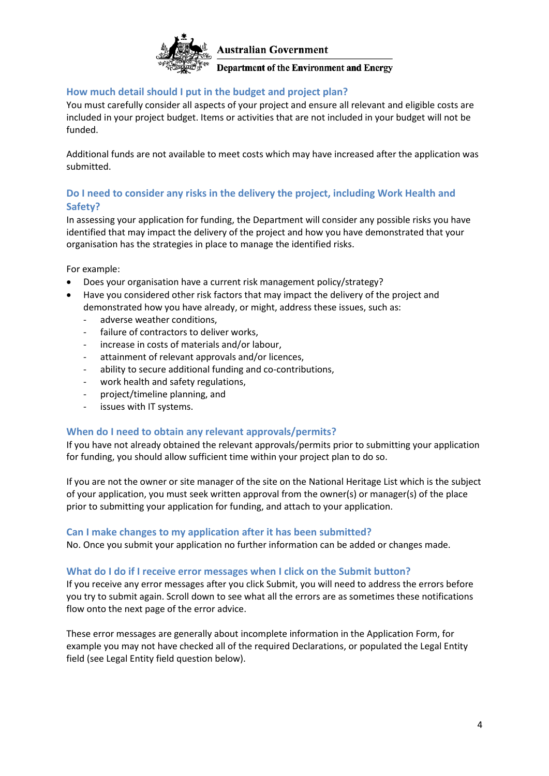

#### **How much detail should I put in the budget and project plan?**

You must carefully consider all aspects of your project and ensure all relevant and eligible costs are included in your project budget. Items or activities that are not included in your budget will not be funded.

Additional funds are not available to meet costs which may have increased after the application was submitted.

#### **Do I need to consider any risks in the delivery the project, including Work Health and Safety?**

In assessing your application for funding, the Department will consider any possible risks you have identified that may impact the delivery of the project and how you have demonstrated that your organisation has the strategies in place to manage the identified risks.

For example:

- Does your organisation have a current risk management policy/strategy?
- Have you considered other risk factors that may impact the delivery of the project and demonstrated how you have already, or might, address these issues, such as:
	- adverse weather conditions,
	- failure of contractors to deliver works,
	- increase in costs of materials and/or labour,
	- attainment of relevant approvals and/or licences,
	- ability to secure additional funding and co-contributions,
	- work health and safety regulations,
	- project/timeline planning, and
	- issues with IT systems.

#### **When do I need to obtain any relevant approvals/permits?**

If you have not already obtained the relevant approvals/permits prior to submitting your application for funding, you should allow sufficient time within your project plan to do so.

If you are not the owner or site manager of the site on the National Heritage List which is the subject of your application, you must seek written approval from the owner(s) or manager(s) of the place prior to submitting your application for funding, and attach to your application.

#### **Can I make changes to my application after it has been submitted?**

No. Once you submit your application no further information can be added or changes made.

#### **What do I do if I receive error messages when I click on the Submit button?**

If you receive any error messages after you click Submit, you will need to address the errors before you try to submit again. Scroll down to see what all the errors are as sometimes these notifications flow onto the next page of the error advice.

These error messages are generally about incomplete information in the Application Form, for example you may not have checked all of the required Declarations, or populated the Legal Entity field (see Legal Entity field question below).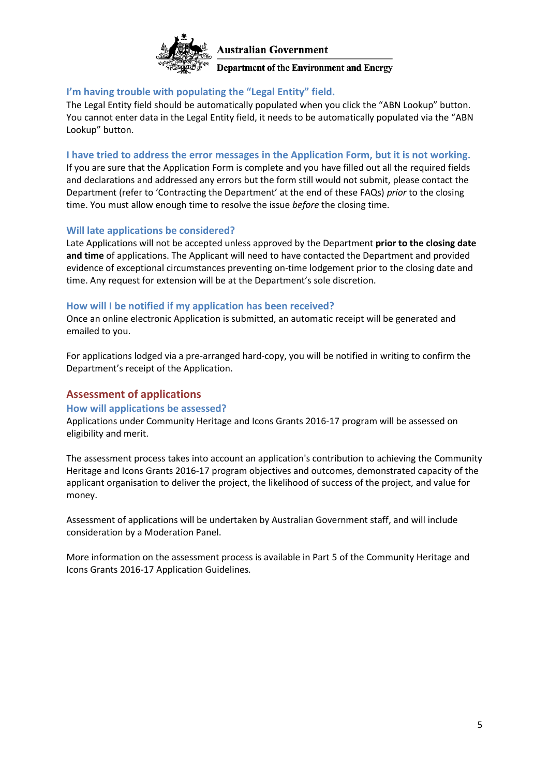

#### **I'm having trouble with populating the "Legal Entity" field.**

The Legal Entity field should be automatically populated when you click the "ABN Lookup" button. You cannot enter data in the Legal Entity field, it needs to be automatically populated via the "ABN Lookup" button.

#### **I have tried to address the error messages in the Application Form, but it is not working.**

If you are sure that the Application Form is complete and you have filled out all the required fields and declarations and addressed any errors but the form still would not submit, please contact the Department (refer to 'Contracting the Department' at the end of these FAQs) *prior* to the closing time. You must allow enough time to resolve the issue *before* the closing time.

#### **Will late applications be considered?**

Late Applications will not be accepted unless approved by the Department **prior to the closing date and time** of applications. The Applicant will need to have contacted the Department and provided evidence of exceptional circumstances preventing on-time lodgement prior to the closing date and time. Any request for extension will be at the Department's sole discretion.

#### **How will I be notified if my application has been received?**

Once an online electronic Application is submitted, an automatic receipt will be generated and emailed to you.

For applications lodged via a pre-arranged hard-copy, you will be notified in writing to confirm the Department's receipt of the Application.

#### **Assessment of applications**

#### **How will applications be assessed?**

Applications under Community Heritage and Icons Grants 2016-17 program will be assessed on eligibility and merit.

The assessment process takes into account an application's contribution to achieving the Community Heritage and Icons Grants 2016-17 program objectives and outcomes, demonstrated capacity of the applicant organisation to deliver the project, the likelihood of success of the project, and value for money.

Assessment of applications will be undertaken by Australian Government staff, and will include consideration by a Moderation Panel.

More information on the assessment process is available in Part 5 [of](file://///act001cl01fs08/funding/open-call/assessment.html) the Community Heritage and Icons Grants 2016-17 Application Guidelines*.*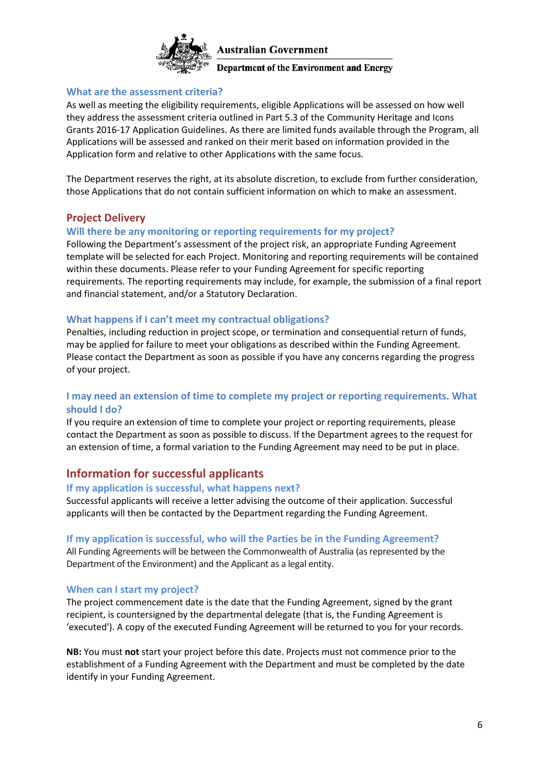

#### **What are the assessment criteria?**

As well as meeting the eligibility requirements, eligible Applications will be assessed on how well they address the assessment criteria outlined in Part 5.3 of the Community Heritage and Icons Grants 2016-17 Application Guidelines. As there are limited funds available through the Program, all Applications will be assessed and ranked on their merit based on information provided in the Application form and relative to other Applications with the same focus.

The Department reserves the right, at its absolute discretion, to exclude from further consideration, those Applications that do not contain sufficient information on which to make an assessment.

#### **Project Delivery**

#### **Will there be any monitoring or reporting requirements for my project?**

Following the Department's assessment of the project risk, an appropriate Funding Agreement template will be selected for each Project. Monitoring and reporting requirements will be contained within these documents. Please refer to your Funding Agreement for specific reporting requirements. The reporting requirements may include, for example, the submission of a final report and financial statement, and/or a Statutory Declaration.

#### **What happens if I can't meet my contractual obligations?**

Penalties, including reduction in project scope, or termination and consequential return of funds, may be applied for failure to meet your obligations as described within the Funding Agreement. Please contact the Department as soon as possible if you have any concerns regarding the progress of your project.

#### **I may need an extension of time to complete my project or reporting requirements. What should I do?**

If you require an extension of time to complete your project or reporting requirements, please contact the Department as soon as possible to discuss. If the Department agrees to the request for an extension of time, a formal variation to the Funding Agreement may need to be put in place.

#### **Information for successful applicants**

#### **If my application is successful, what happens next?**

Successful applicants will receive a letter advising the outcome of their application. Successful applicants will then be contacted by the Department regarding the Funding Agreement.

#### **If my application is successful, who will the Parties be in the Funding Agreement?**

All Funding Agreements will be between the Commonwealth of Australia (as represented by the Department of the Environment) and the Applicant as a legal entity.

#### **When can I start my project?**

The project commencement date is the date that the Funding Agreement, signed by the grant recipient, is countersigned by the departmental delegate (that is, the Funding Agreement is 'executed'). A copy of the executed Funding Agreement will be returned to you for your records.

**NB:** You must **not** start your project before this date. Projects must not commence prior to the establishment of a Funding Agreement with the Department and must be completed by the date identify in your Funding Agreement.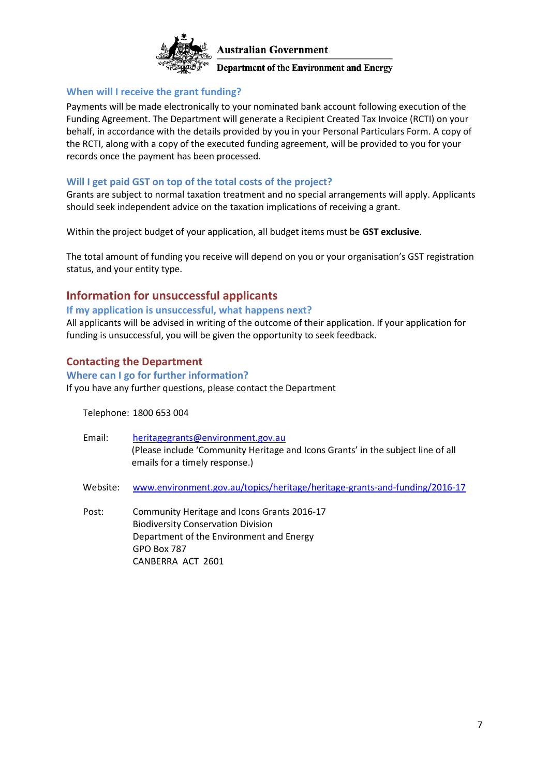

#### **When will I receive the grant funding?**

Payments will be made electronically to your nominated bank account following execution of the Funding Agreement. The Department will generate a Recipient Created Tax Invoice (RCTI) on your behalf, in accordance with the details provided by you in your Personal Particulars Form. A copy of the RCTI, along with a copy of the executed funding agreement, will be provided to you for your records once the payment has been processed.

#### **Will I get paid GST on top of the total costs of the project?**

Grants are subject to normal taxation treatment and no special arrangements will apply. Applicants should seek independent advice on the taxation implications of receiving a grant.

Within the project budget of your application, all budget items must be **GST exclusive**.

The total amount of funding you receive will depend on you or your organisation's GST registration status, and your entity type.

#### **Information for unsuccessful applicants**

#### **If my application is unsuccessful, what happens next?**

All applicants will be advised in writing of the outcome of their application. If your application for funding is unsuccessful, you will be given the opportunity to seek feedback.

#### **Contacting the Department**

#### **Where can I go for further information?**

If you have any further questions, please contact the Department

CANBERRA ACT 2601

Telephone: 1800 653 004

| Email:   | heritagegrants@environment.gov.au<br>(Please include 'Community Heritage and Icons Grants' in the subject line of all<br>emails for a timely response.) |
|----------|---------------------------------------------------------------------------------------------------------------------------------------------------------|
| Website: | www.environment.gov.au/topics/heritage/heritage-grants-and-funding/2016-17                                                                              |
| Post:    | Community Heritage and Icons Grants 2016-17<br><b>Biodiversity Conservation Division</b><br>Department of the Environment and Energy<br>GPO Box 787     |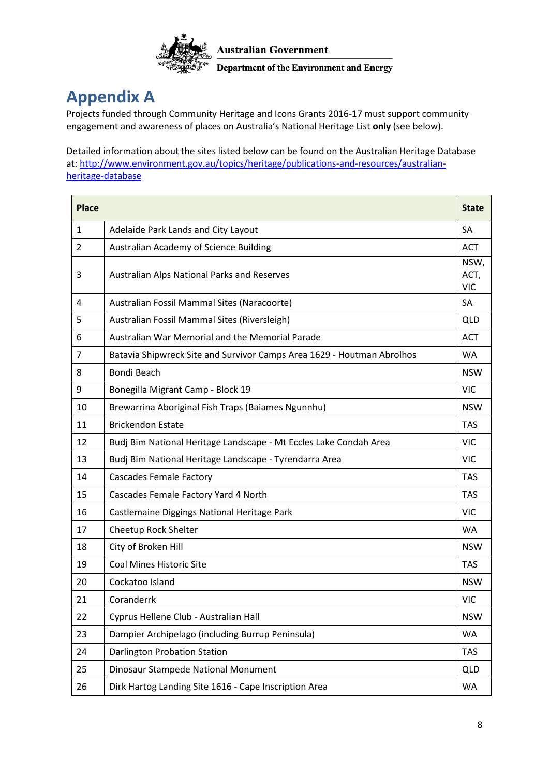

### **Appendix A**

Projects funded through Community Heritage and Icons Grants 2016-17 must support community engagement and awareness of places on Australia's National Heritage List **only** (see below).

Detailed information about the sites listed below can be found on the Australian Heritage Database at: [http://www.environment.gov.au/topics/heritage/publications-and-resources/australian](http://www.environment.gov.au/topics/heritage/publications-and-resources/australian-heritage-database)[heritage-database](http://www.environment.gov.au/topics/heritage/publications-and-resources/australian-heritage-database)

| <b>Place</b> |                                                                        | <b>State</b>               |
|--------------|------------------------------------------------------------------------|----------------------------|
| 1            | Adelaide Park Lands and City Layout                                    | SA                         |
| 2            | Australian Academy of Science Building                                 | <b>ACT</b>                 |
| 3            | Australian Alps National Parks and Reserves                            | NSW,<br>ACT,<br><b>VIC</b> |
| 4            | Australian Fossil Mammal Sites (Naracoorte)                            | SA                         |
| 5            | Australian Fossil Mammal Sites (Riversleigh)                           | <b>QLD</b>                 |
| 6            | Australian War Memorial and the Memorial Parade                        | <b>ACT</b>                 |
| 7            | Batavia Shipwreck Site and Survivor Camps Area 1629 - Houtman Abrolhos | <b>WA</b>                  |
| 8            | Bondi Beach                                                            | <b>NSW</b>                 |
| 9            | Bonegilla Migrant Camp - Block 19                                      | <b>VIC</b>                 |
| 10           | Brewarrina Aboriginal Fish Traps (Baiames Ngunnhu)                     | <b>NSW</b>                 |
| 11           | <b>Brickendon Estate</b>                                               | <b>TAS</b>                 |
| 12           | Budj Bim National Heritage Landscape - Mt Eccles Lake Condah Area      | <b>VIC</b>                 |
| 13           | Budj Bim National Heritage Landscape - Tyrendarra Area                 | <b>VIC</b>                 |
| 14           | <b>Cascades Female Factory</b>                                         | <b>TAS</b>                 |
| 15           | Cascades Female Factory Yard 4 North                                   | <b>TAS</b>                 |
| 16           | Castlemaine Diggings National Heritage Park                            | <b>VIC</b>                 |
| 17           | Cheetup Rock Shelter                                                   | <b>WA</b>                  |
| 18           | City of Broken Hill                                                    | <b>NSW</b>                 |
| 19           | <b>Coal Mines Historic Site</b>                                        | <b>TAS</b>                 |
| 20           | Cockatoo Island                                                        | <b>NSW</b>                 |
| 21           | Coranderrk                                                             | <b>VIC</b>                 |
| 22           | Cyprus Hellene Club - Australian Hall                                  | <b>NSW</b>                 |
| 23           | Dampier Archipelago (including Burrup Peninsula)                       | WA                         |
| 24           | Darlington Probation Station                                           | <b>TAS</b>                 |
| 25           | Dinosaur Stampede National Monument                                    | <b>QLD</b>                 |
| 26           | Dirk Hartog Landing Site 1616 - Cape Inscription Area                  | <b>WA</b>                  |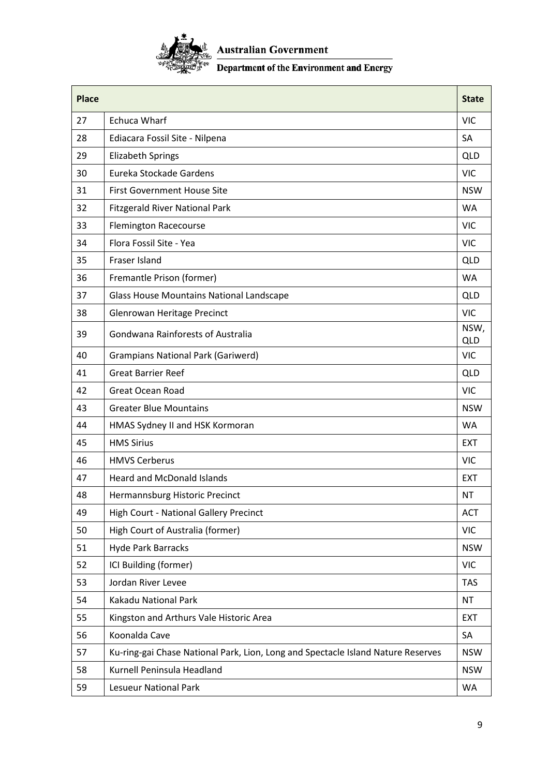

# $\frac{\sum_{k \in \mathbb{Z}}^k}{\sum_{k \in \mathbb{Z}}^k}$  Australian Government<br> $\frac{1}{\sum_{k \in \mathbb{Z}}^k}$  Department of the Environment and Energy

| Place |                                                                                  | <b>State</b>       |
|-------|----------------------------------------------------------------------------------|--------------------|
| 27    | <b>Echuca Wharf</b>                                                              | <b>VIC</b>         |
| 28    | Ediacara Fossil Site - Nilpena                                                   | SA                 |
| 29    | <b>Elizabeth Springs</b>                                                         | <b>QLD</b>         |
| 30    | Eureka Stockade Gardens                                                          | <b>VIC</b>         |
| 31    | <b>First Government House Site</b>                                               | <b>NSW</b>         |
| 32    | <b>Fitzgerald River National Park</b>                                            | <b>WA</b>          |
| 33    | <b>Flemington Racecourse</b>                                                     | <b>VIC</b>         |
| 34    | Flora Fossil Site - Yea                                                          | <b>VIC</b>         |
| 35    | Fraser Island                                                                    | <b>QLD</b>         |
| 36    | Fremantle Prison (former)                                                        | <b>WA</b>          |
| 37    | Glass House Mountains National Landscape                                         | <b>QLD</b>         |
| 38    | Glenrowan Heritage Precinct                                                      | <b>VIC</b>         |
| 39    | Gondwana Rainforests of Australia                                                | NSW,<br><b>QLD</b> |
| 40    | <b>Grampians National Park (Gariwerd)</b>                                        | <b>VIC</b>         |
| 41    | <b>Great Barrier Reef</b>                                                        | <b>QLD</b>         |
| 42    | <b>Great Ocean Road</b>                                                          | <b>VIC</b>         |
| 43    | <b>Greater Blue Mountains</b>                                                    | <b>NSW</b>         |
| 44    | HMAS Sydney II and HSK Kormoran                                                  | <b>WA</b>          |
| 45    | <b>HMS Sirius</b>                                                                | <b>EXT</b>         |
| 46    | <b>HMVS Cerberus</b>                                                             | <b>VIC</b>         |
| 47    | <b>Heard and McDonald Islands</b>                                                | <b>EXT</b>         |
| 48    | Hermannsburg Historic Precinct                                                   | <b>NT</b>          |
| 49    | <b>High Court - National Gallery Precinct</b>                                    | <b>ACT</b>         |
| 50    | High Court of Australia (former)                                                 | <b>VIC</b>         |
| 51    | <b>Hyde Park Barracks</b>                                                        | <b>NSW</b>         |
| 52    | ICI Building (former)                                                            | <b>VIC</b>         |
| 53    | Jordan River Levee                                                               | <b>TAS</b>         |
| 54    | Kakadu National Park                                                             | <b>NT</b>          |
| 55    | Kingston and Arthurs Vale Historic Area                                          | <b>EXT</b>         |
| 56    | Koonalda Cave                                                                    | SA                 |
| 57    | Ku-ring-gai Chase National Park, Lion, Long and Spectacle Island Nature Reserves | <b>NSW</b>         |
| 58    | Kurnell Peninsula Headland                                                       | <b>NSW</b>         |
| 59    | <b>Lesueur National Park</b>                                                     | WA                 |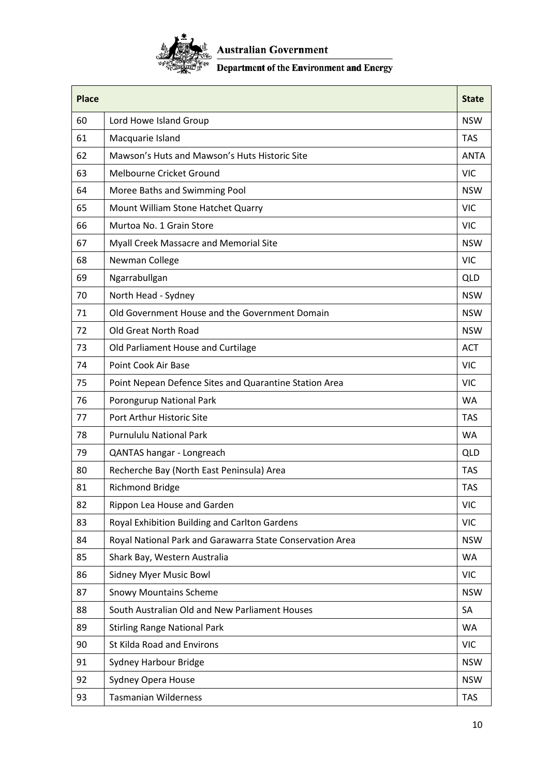

# $\frac{\sum_{k \in \mathbb{Z}}^k}{\sum_{k \in \mathbb{Z}}^k}$  Australian Government<br> $\frac{\sum_{k \in \mathbb{Z}}^k}{\sum_{k \in \mathbb{Z}}^k}$  Department of the Environment and Energy

| <b>Place</b> |                                                           | <b>State</b> |
|--------------|-----------------------------------------------------------|--------------|
| 60           | Lord Howe Island Group                                    | <b>NSW</b>   |
| 61           | Macquarie Island                                          | <b>TAS</b>   |
| 62           | Mawson's Huts and Mawson's Huts Historic Site             | <b>ANTA</b>  |
| 63           | Melbourne Cricket Ground                                  | <b>VIC</b>   |
| 64           | Moree Baths and Swimming Pool                             | <b>NSW</b>   |
| 65           | Mount William Stone Hatchet Quarry                        | <b>VIC</b>   |
| 66           | Murtoa No. 1 Grain Store                                  | <b>VIC</b>   |
| 67           | Myall Creek Massacre and Memorial Site                    | <b>NSW</b>   |
| 68           | Newman College                                            | <b>VIC</b>   |
| 69           | Ngarrabullgan                                             | <b>QLD</b>   |
| 70           | North Head - Sydney                                       | <b>NSW</b>   |
| 71           | Old Government House and the Government Domain            | <b>NSW</b>   |
| 72           | Old Great North Road                                      | <b>NSW</b>   |
| 73           | Old Parliament House and Curtilage                        | <b>ACT</b>   |
| 74           | Point Cook Air Base                                       | <b>VIC</b>   |
| 75           | Point Nepean Defence Sites and Quarantine Station Area    | <b>VIC</b>   |
| 76           | Porongurup National Park                                  | <b>WA</b>    |
| 77           | Port Arthur Historic Site                                 | <b>TAS</b>   |
| 78           | <b>Purnululu National Park</b>                            | <b>WA</b>    |
| 79           | QANTAS hangar - Longreach                                 | <b>QLD</b>   |
| 80           | Recherche Bay (North East Peninsula) Area                 | <b>TAS</b>   |
| 81           | <b>Richmond Bridge</b>                                    | <b>TAS</b>   |
| 82           | Rippon Lea House and Garden                               | <b>VIC</b>   |
| 83           | Royal Exhibition Building and Carlton Gardens             | <b>VIC</b>   |
| 84           | Royal National Park and Garawarra State Conservation Area | <b>NSW</b>   |
| 85           | Shark Bay, Western Australia                              | <b>WA</b>    |
| 86           | <b>Sidney Myer Music Bowl</b>                             | <b>VIC</b>   |
| 87           | <b>Snowy Mountains Scheme</b>                             | <b>NSW</b>   |
| 88           | South Australian Old and New Parliament Houses            | SA           |
| 89           | <b>Stirling Range National Park</b>                       | WA           |
| 90           | St Kilda Road and Environs                                | <b>VIC</b>   |
| 91           | Sydney Harbour Bridge                                     | <b>NSW</b>   |
| 92           | Sydney Opera House                                        | <b>NSW</b>   |
| 93           | <b>Tasmanian Wilderness</b>                               | <b>TAS</b>   |